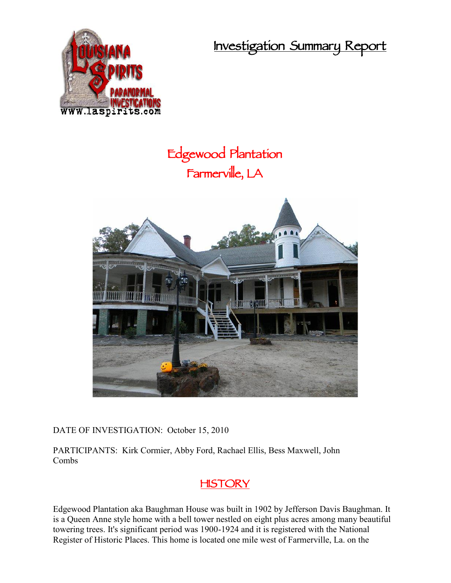**Investigation Summary Report**



# **Edgewood Plantation Farmerville, LA**



DATE OF INVESTIGATION: October 15, 2010

PARTICIPANTS: Kirk Cormier, Abby Ford, Rachael Ellis, Bess Maxwell, John Combs

# **HISTORY**

Edgewood Plantation aka Baughman House was built in 1902 by Jefferson Davis Baughman. It is a Queen Anne style home with a bell tower nestled on eight plus acres among many beautiful towering trees. It's significant period was 1900-1924 and it is registered with the National Register of Historic Places. This home is located one mile west of Farmerville, La. on the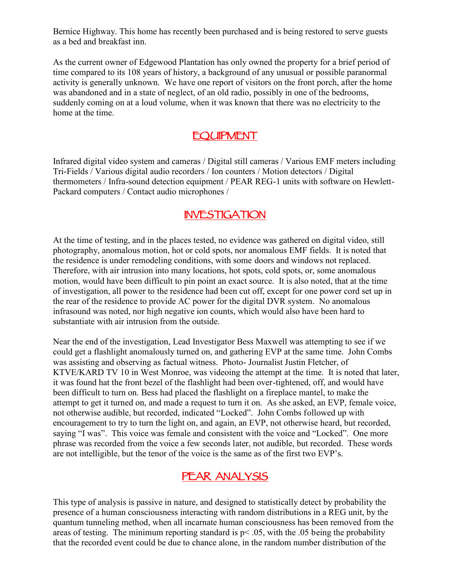Bernice Highway. This home has recently been purchased and is being restored to serve guests as a bed and breakfast inn.

As the current owner of Edgewood Plantation has only owned the property for a brief period of time compared to its 108 years of history, a background of any unusual or possible paranormal activity is generally unknown. We have one report of visitors on the front porch, after the home was abandoned and in a state of neglect, of an old radio, possibly in one of the bedrooms, suddenly coming on at a loud volume, when it was known that there was no electricity to the home at the time.

# **EQUIPMENT**

Infrared digital video system and cameras / Digital still cameras / Various EMF meters including Tri-Fields / Various digital audio recorders / Ion counters / Motion detectors / Digital thermometers / Infra-sound detection equipment / PEAR REG-1 units with software on Hewlett- Packard computers / Contact audio microphones /

### **INVESTIGATION**

At the time of testing, and in the places tested, no evidence was gathered on digital video, still photography, anomalous motion, hot or cold spots, nor anomalous EMF fields. It is noted that the residence is under remodeling conditions, with some doors and windows not replaced. Therefore, with air intrusion into many locations, hot spots, cold spots, or, some anomalous motion, would have been difficult to pin point an exact source. It is also noted, that at the time of investigation, all power to the residence had been cut off, except for one power cord set up in the rear of the residence to provide AC power for the digital DVR system. No anomalous infrasound was noted, nor high negative ion counts, which would also have been hard to substantiate with air intrusion from the outside.

Near the end of the investigation, Lead Investigator Bess Maxwell was attempting to see if we could get a flashlight anomalously turned on, and gathering EVP at the same time. John Combs was assisting and observing as factual witness. Photo- Journalist Justin Fletcher, of KTVE/KARD TV 10 in West Monroe, was videoing the attempt at the time. It is noted that later, it was found hat the front bezel of the flashlight had been over-tightened, off, and would have been difficult to turn on. Bess had placed the flashlight on a fireplace mantel, to make the attempt to get it turned on, and made a request to turn it on. As she asked, an EVP, female voice, not otherwise audible, but recorded, indicated "Locked". John Combs followed up with encouragement to try to turn the light on, and again, an EVP, not otherwise heard, but recorded, saying "I was". This voice was female and consistent with the voice and "Locked". One more phrase was recorded from the voice a few seconds later, not audible, but recorded. These words are not intelligible, but the tenor of the voice is the same as of the first two EVP's.

# **PEAR ANALYSIS**

This type of analysis is passive in nature, and designed to statistically detect by probability the presence of a human consciousness interacting with random distributions in a REG unit, by the quantum tunneling method, when all incarnate human consciousness has been removed from the areas of testing. The minimum reporting standard is  $p \le 0.05$ , with the 0.05 being the probability that the recorded event could be due to chance alone, in the random number distribution of the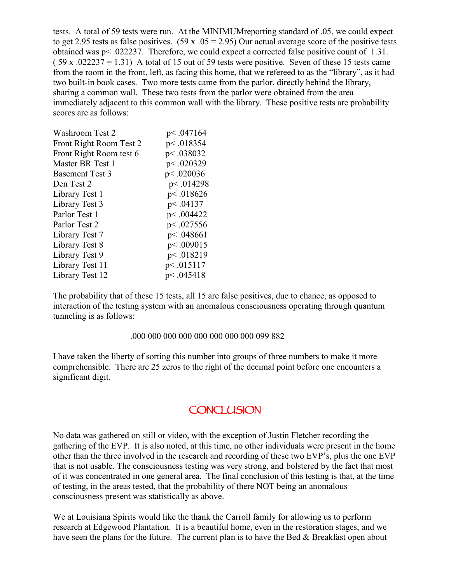tests. A total of 59 tests were run. At the MINIMUMreporting standard of .05, we could expect to get 2.95 tests as false positives. (59 x  $.05 = 2.95$ ) Our actual average score of the positive tests obtained was p< .022237. Therefore, we could expect a corrected false positive count of 1.31.  $(59 \times .022237 = 1.31)$  A total of 15 out of 59 tests were positive. Seven of these 15 tests came from the room in the front, left, as facing this home, that we refereed to as the "library", as it had two built-in book cases. Two more tests came from the parlor, directly behind the library, sharing a common wall. These two tests from the parlor were obtained from the area immediately adjacent to this common wall with the library. These positive tests are probability scores are as follows:

| Washroom Test 2         | p<.047164   |
|-------------------------|-------------|
| Front Right Room Test 2 | p<.018354   |
| Front Right Room test 6 | p<.038032   |
| Master BR Test 1        | p <. 020329 |
| <b>Basement Test 3</b>  | p<.020036   |
| Den Test 2              | p<.014298   |
| Library Test 1          | p<.018626   |
| Library Test 3          | p<.04137    |
| Parlor Test 1           | p<.004422   |
| Parlor Test 2           | p <.027556  |
| Library Test 7          | p <. 048661 |
| Library Test 8          | p<.009015   |
| Library Test 9          | p<.018219   |
| Library Test 11         | p<.015117   |
| Library Test 12         | p<.045418   |

The probability that of these 15 tests, all 15 are false positives, due to chance, as opposed to interaction of the testing system with an anomalous consciousness operating through quantum tunneling is as follows:

#### .000 000 000 000 000 000 000 000 099 882

I have taken the liberty of sorting this number into groups of three numbers to make it more comprehensible. There are 25 zeros to the right of the decimal point before one encounters a significant digit.

#### **CONCLUSION**

No data was gathered on still or video, with the exception of Justin Fletcher recording the gathering of the EVP. It is also noted, at this time, no other individuals were present in the home other than the three involved in the research and recording of these two EVP's, plus the one EVP that is not usable. The consciousness testing was very strong, and bolstered by the fact that most of it was concentrated in one general area. The final conclusion of this testing is that, at the time of testing, in the areas tested, that the probability of there NOT being an anomalous consciousness present was statistically as above.

We at Louisiana Spirits would like the thank the Carroll family for allowing us to perform research at Edgewood Plantation. It is a beautiful home, even in the restoration stages, and we have seen the plans for the future. The current plan is to have the Bed & Breakfast open about